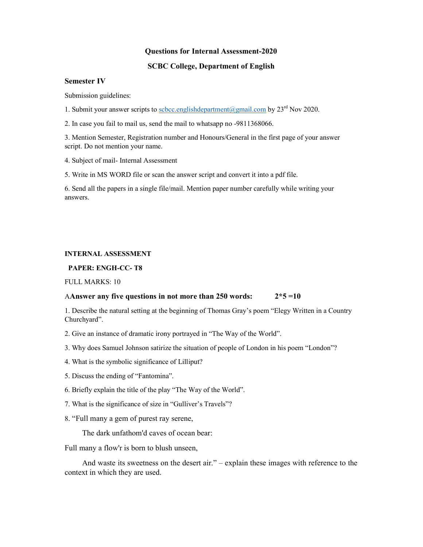### Questions for Internal Assessment-2020

## SCBC College, Department of English

### Semester IV

Submission guidelines:

1. Submit your answer scripts to scbcc.englishdepartment@gmail.com by  $23<sup>rd</sup>$  Nov 2020.

2. In case you fail to mail us, send the mail to whatsapp no -9811368066.

3. Mention Semester, Registration number and Honours/General in the first page of your answer script. Do not mention your name.

4. Subject of mail- Internal Assessment

5. Write in MS WORD file or scan the answer script and convert it into a pdf file.

6. Send all the papers in a single file/mail. Mention paper number carefully while writing your answers.

### INTERNAL ASSESSMENT

### PAPER: ENGH-CC- T8

FULL MARKS: 10

#### AAnswer any five questions in not more than  $250$  words:  $2*5 = 10$

1. Describe the natural setting at the beginning of Thomas Gray's poem "Elegy Written in a Country Churchyard".

- 2. Give an instance of dramatic irony portrayed in "The Way of the World".
- 3. Why does Samuel Johnson satirize the situation of people of London in his poem "London"?
- 4. What is the symbolic significance of Lilliput?
- 5. Discuss the ending of "Fantomina".
- 6. Briefly explain the title of the play "The Way of the World".
- 7. What is the significance of size in "Gulliver's Travels"?
- 8. "Full many a gem of purest ray serene,

The dark unfathom'd caves of ocean bear:

Full many a flow'r is born to blush unseen,

 And waste its sweetness on the desert air." – explain these images with reference to the context in which they are used.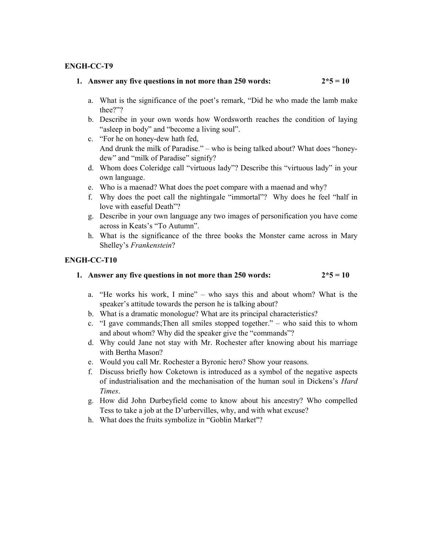## ENGH-CC-T9

## 1. Answer any five questions in not more than 250 words:  $2*5 = 10$

- a. What is the significance of the poet's remark, "Did he who made the lamb make thee?"?
- b. Describe in your own words how Wordsworth reaches the condition of laying "asleep in body" and "become a living soul".
- c. "For he on honey-dew hath fed, And drunk the milk of Paradise." – who is being talked about? What does "honeydew" and "milk of Paradise" signify?
- d. Whom does Coleridge call "virtuous lady"? Describe this "virtuous lady" in your own language.
- e. Who is a maenad? What does the poet compare with a maenad and why?
- f. Why does the poet call the nightingale "immortal"? Why does he feel "half in love with easeful Death"?
- g. Describe in your own language any two images of personification you have come across in Keats's "To Autumn".
- h. What is the significance of the three books the Monster came across in Mary Shelley's Frankenstein?

# ENGH-CC-T10

|  |  |  | 1. Answer any five questions in not more than 250 words: |  | $2*5=10$ |
|--|--|--|----------------------------------------------------------|--|----------|
|--|--|--|----------------------------------------------------------|--|----------|

- a. "He works his work, I mine" who says this and about whom? What is the speaker's attitude towards the person he is talking about?
- b. What is a dramatic monologue? What are its principal characteristics?
- c. "I gave commands;Then all smiles stopped together." who said this to whom and about whom? Why did the speaker give the "commands"?
- d. Why could Jane not stay with Mr. Rochester after knowing about his marriage with Bertha Mason?
- e. Would you call Mr. Rochester a Byronic hero? Show your reasons.
- f. Discuss briefly how Coketown is introduced as a symbol of the negative aspects of industrialisation and the mechanisation of the human soul in Dickens's Hard Times.
- g. How did John Durbeyfield come to know about his ancestry? Who compelled Tess to take a job at the D'urbervilles, why, and with what excuse?
- h. What does the fruits symbolize in "Goblin Market"?